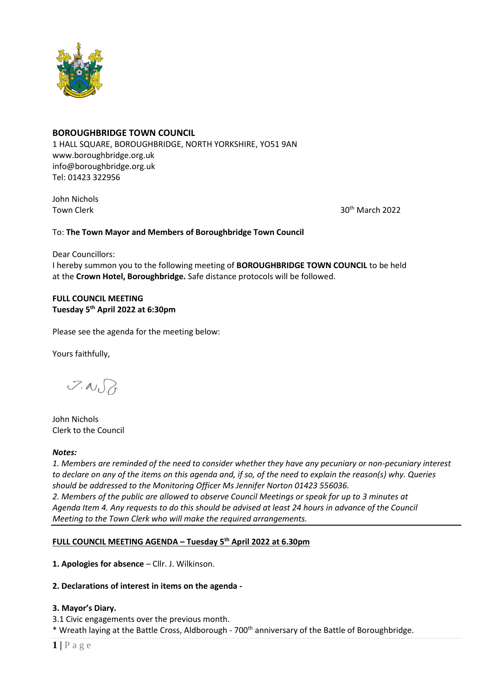

# **BOROUGHBRIDGE TOWN COUNCIL**

1 HALL SQUARE, BOROUGHBRIDGE, NORTH YORKSHIRE, YO51 9AN [www.boroughbridge.org.uk](http://www.boroughbridge.org.uk/) [info@boroughbridge.org.uk](mailto:info@boroughbridge.org.uk) Tel: 01423 322956

John Nichols

Town Clerk 30th March 2022 and the United States of the States 30th March 2022

# To: **The Town Mayor and Members of Boroughbridge Town Council**

Dear Councillors:

I hereby summon you to the following meeting of **BOROUGHBRIDGE TOWN COUNCIL** to be held at the **Crown Hotel, Boroughbridge.** Safe distance protocols will be followed.

# **FULL COUNCIL MEETING Tuesday 5 th April 2022 at 6:30pm**

Please see the agenda for the meeting below:

Yours faithfully,

 $7.007$ 

John Nichols Clerk to the Council

### *Notes:*

*1. Members are reminded of the need to consider whether they have any pecuniary or non-pecuniary interest to declare on any of the items on this agenda and, if so, of the need to explain the reason(s) why. Queries should be addressed to the Monitoring Officer Ms Jennifer Norton 01423 556036. 2. Members of the public are allowed to observe Council Meetings or speak for up to 3 minutes at Agenda Item 4. Any requests to do this should be advised at least 24 hours in advance of the Council Meeting to the Town Clerk who will make the required arrangements.* 

# **FULL COUNCIL MEETING AGENDA – Tuesday 5 th April 2022 at 6.30pm**

**1. Apologies for absence** – Cllr. J. Wilkinson.

# **2. Declarations of interest in items on the agenda -**

# **3. Mayor's Diary.**

3.1 Civic engagements over the previous month. \* Wreath laying at the Battle Cross, Aldborough - 700<sup>th</sup> anniversary of the Battle of Boroughbridge.